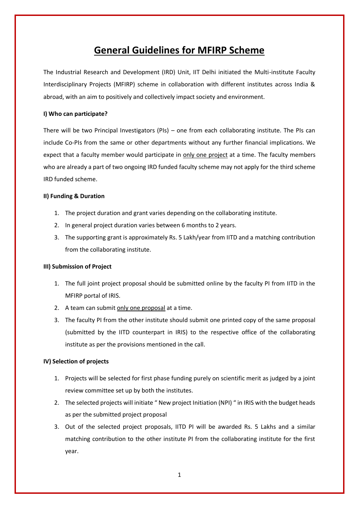# **General Guidelines for MFIRP Scheme**

The Industrial Research and Development (IRD) Unit, IIT Delhi initiated the Multi-institute Faculty Interdisciplinary Projects (MFIRP) scheme in collaboration with different institutes across India & abroad, with an aim to positively and collectively impact society and environment.

### **I) Who can participate?**

There will be two Principal Investigators (PIs) – one from each collaborating institute. The PIs can include Co-PIs from the same or other departments without any further financial implications. We expect that a faculty member would participate in only one project at a time. The faculty members who are already a part of two ongoing IRD funded faculty scheme may not apply for the third scheme IRD funded scheme.

### **II) Funding & Duration**

- 1. The project duration and grant varies depending on the collaborating institute.
- 2. In general project duration varies between 6 months to 2 years.
- 3. The supporting grant is approximately Rs. 5 Lakh/year from IITD and a matching contribution from the collaborating institute.

### **III) Submission of Project**

- 1. The full joint project proposal should be submitted online by the faculty PI from IITD in the MFIRP portal of IRIS.
- 2. A team can submit only one proposal at a time.
- 3. The faculty PI from the other institute should submit one printed copy of the same proposal (submitted by the IITD counterpart in IRIS) to the respective office of the collaborating institute as per the provisions mentioned in the call.

### **IV) Selection of projects**

- 1. Projects will be selected for first phase funding purely on scientific merit as judged by a joint review committee set up by both the institutes.
- 2. The selected projects will initiate " New project Initiation (NPI) " in IRIS with the budget heads as per the submitted project proposal
- 3. Out of the selected project proposals, IITD PI will be awarded Rs. 5 Lakhs and a similar matching contribution to the other institute PI from the collaborating institute for the first year.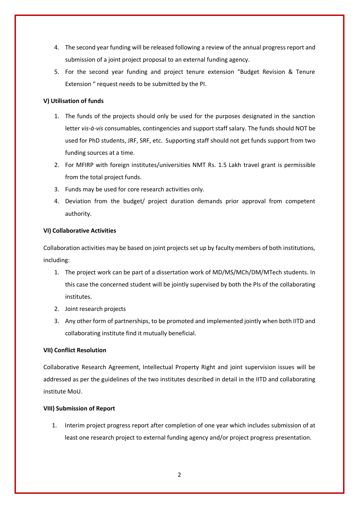- 4. The second year funding will be released following a review of the annual progress report and submission of a joint project proposal to an external funding agency.
- 5. For the second year funding and project tenure extension "Budget Revision & Tenure Extension " request needs to be submitted by the PI.

## **V) Utilisation of funds**

- 1. The funds of the projects should only be used for the purposes designated in the sanction letter *vis-à-vis* consumables, contingencies and support staff salary. The funds should NOT be used for PhD students, JRF, SRF, etc. Supporting staff should not get funds support from two funding sources at a time.
- 2. For MFIRP with foreign institutes/universities NMT Rs. 1.5 Lakh travel grant is permissible from the total project funds.
- 3. Funds may be used for core research activities only.
- 4. Deviation from the budget/ project duration demands prior approval from competent authority.

### **VI) Collaborative Activities**

Collaboration activities may be based on joint projects set up by faculty members of both institutions, including:

- 1. The project work can be part of a dissertation work of MD/MS/MCh/DM/MTech students. In this case the concerned student will be jointly supervised by both the PIs of the collaborating institutes.
- 2. Joint research projects
- 3. Any other form of partnerships, to be promoted and implemented jointly when both IITD and collaborating institute find it mutually beneficial.

### **VII) Conflict Resolution**

Collaborative Research Agreement, Intellectual Property Right and joint supervision issues will be addressed as per the guidelines of the two institutes described in detail in the IITD and collaborating institute MoU.

### **VIII) Submission of Report**

1. Interim project progress report after completion of one year which includes submission of at least one research project to external funding agency and/or project progress presentation.